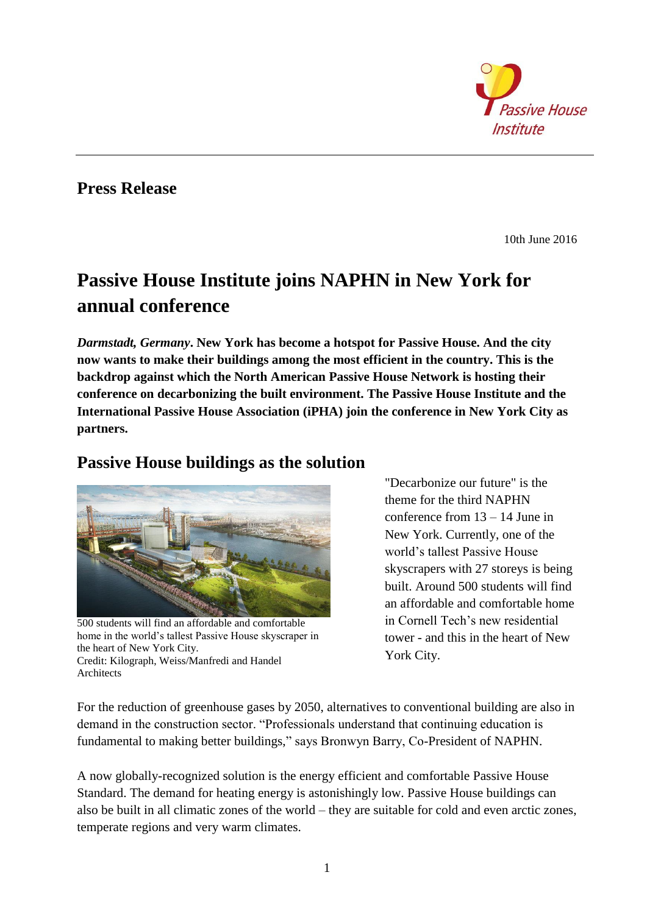

### **Press Release**

10th June 2016

# **Passive House Institute joins NAPHN in New York for annual conference**

*Darmstadt, Germany***. New York has become a hotspot for Passive House. And the city now wants to make their buildings among the most efficient in the country. This is the backdrop against which the North American Passive House Network is hosting their conference on decarbonizing the built environment. The Passive House Institute and the International Passive House Association (iPHA) join the conference in New York City as partners.** 

#### **Passive House buildings as the solution**



500 students will find an affordable and comfortable home in the world's tallest Passive House skyscraper in the heart of New York City. Credit: Kilograph, Weiss/Manfredi and Handel **Architects** 

"Decarbonize our future" is the theme for the third NAPHN conference from 13 – 14 June in New York. Currently, one of the world's tallest Passive House skyscrapers with 27 storeys is being built. Around 500 students will find an affordable and comfortable home in Cornell Tech's new residential tower - and this in the heart of New York City.

For the reduction of greenhouse gases by 2050, alternatives to conventional building are also in demand in the construction sector. "Professionals understand that continuing education is fundamental to making better buildings," says Bronwyn Barry, Co-President of NAPHN.

A now globally-recognized solution is the energy efficient and comfortable Passive House Standard. The demand for heating energy is astonishingly low. Passive House buildings can also be built in all climatic zones of the world – they are suitable for cold and even arctic zones, temperate regions and very warm climates.